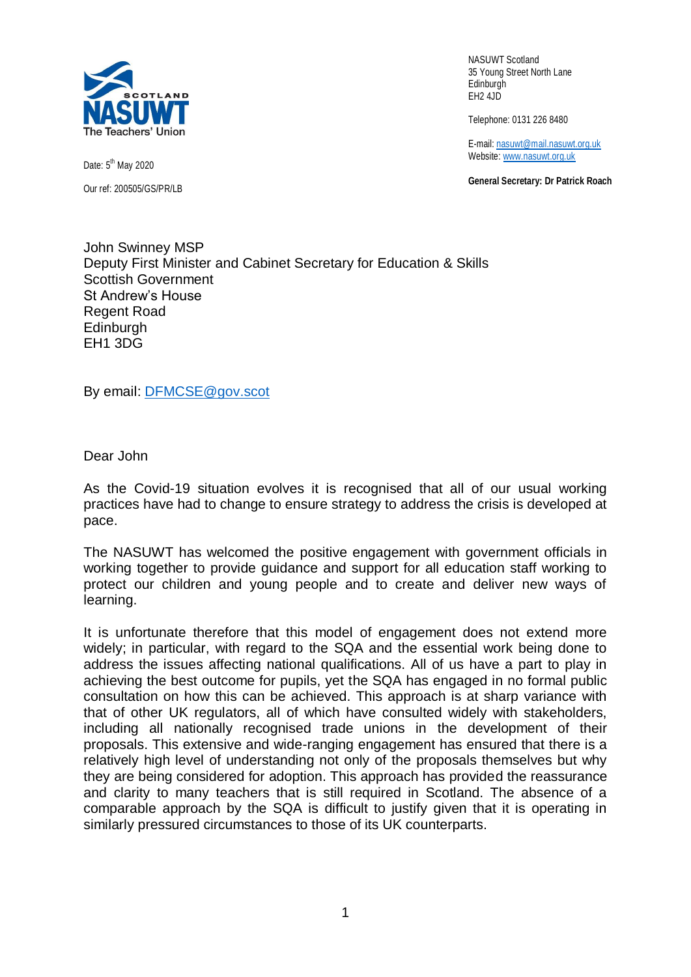

Date: 5<sup>th</sup> May 2020 Our ref: 200505/GS/PR/LB

NASUWT Scotland 35 Young Street North Lane Edinburgh EH2 4JD

Telephone: 0131 226 8480

E-mail: [nasuwt@mail.nasuwt.org.uk](mailto:nasuwt@mail.nasuwt.org.uk) Website[: www.nasuwt.org.uk](http://www.nasuwt.org.uk/)

**General Secretary: Dr Patrick Roach**

John Swinney MSP Deputy First Minister and Cabinet Secretary for Education & Skills Scottish Government St Andrew's House Regent Road **Edinburgh** EH1 3DG

By email: [DFMCSE@gov.scot](mailto:DFMCSE@gov.scot)

Dear John

As the Covid-19 situation evolves it is recognised that all of our usual working practices have had to change to ensure strategy to address the crisis is developed at pace.

The NASUWT has welcomed the positive engagement with government officials in working together to provide guidance and support for all education staff working to protect our children and young people and to create and deliver new ways of learning.

It is unfortunate therefore that this model of engagement does not extend more widely; in particular, with regard to the SQA and the essential work being done to address the issues affecting national qualifications. All of us have a part to play in achieving the best outcome for pupils, yet the SQA has engaged in no formal public consultation on how this can be achieved. This approach is at sharp variance with that of other UK regulators, all of which have consulted widely with stakeholders, including all nationally recognised trade unions in the development of their proposals. This extensive and wide-ranging engagement has ensured that there is a relatively high level of understanding not only of the proposals themselves but why they are being considered for adoption. This approach has provided the reassurance and clarity to many teachers that is still required in Scotland. The absence of a comparable approach by the SQA is difficult to justify given that it is operating in similarly pressured circumstances to those of its UK counterparts.